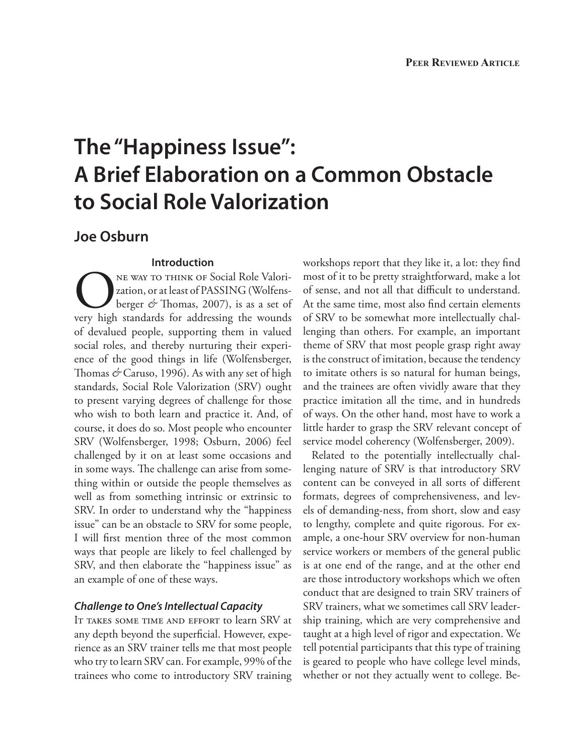# **The "Happiness Issue": A Brief Elaboration on a Common Obstacle to Social Role Valorization**

## **Joe Osburn**

## **Introduction**

NE WAY TO THINK OF Social Role Valori-<br>
zation, or at least of PASSING (Wolfens-<br>
berger & Thomas, 2007), is as a set of<br>
very high standards for addressing the wounds zation, or at least of PASSING (Wolfensberger *&* Thomas, 2007), is as a set of of devalued people, supporting them in valued social roles, and thereby nurturing their experience of the good things in life (Wolfensberger, Thomas *&* Caruso, 1996). As with any set of high standards, Social Role Valorization (SRV) ought to present varying degrees of challenge for those who wish to both learn and practice it. And, of course, it does do so. Most people who encounter SRV (Wolfensberger, 1998; Osburn, 2006) feel challenged by it on at least some occasions and in some ways. The challenge can arise from something within or outside the people themselves as well as from something intrinsic or extrinsic to SRV. In order to understand why the "happiness issue" can be an obstacle to SRV for some people, I will first mention three of the most common ways that people are likely to feel challenged by SRV, and then elaborate the "happiness issue" as an example of one of these ways.

#### *Challenge to One's Intellectual Capacity*

IT TAKES SOME TIME AND EFFORT to learn SRV at any depth beyond the superficial. However, experience as an SRV trainer tells me that most people who try to learn SRV can. For example, 99% of the trainees who come to introductory SRV training workshops report that they like it, a lot: they find most of it to be pretty straightforward, make a lot of sense, and not all that difficult to understand. At the same time, most also find certain elements of SRV to be somewhat more intellectually challenging than others. For example, an important theme of SRV that most people grasp right away is the construct of imitation, because the tendency to imitate others is so natural for human beings, and the trainees are often vividly aware that they practice imitation all the time, and in hundreds of ways. On the other hand, most have to work a little harder to grasp the SRV relevant concept of service model coherency (Wolfensberger, 2009).

Related to the potentially intellectually challenging nature of SRV is that introductory SRV content can be conveyed in all sorts of different formats, degrees of comprehensiveness, and levels of demanding-ness, from short, slow and easy to lengthy, complete and quite rigorous. For example, a one-hour SRV overview for non-human service workers or members of the general public is at one end of the range, and at the other end are those introductory workshops which we often conduct that are designed to train SRV trainers of SRV trainers, what we sometimes call SRV leadership training, which are very comprehensive and taught at a high level of rigor and expectation. We tell potential participants that this type of training is geared to people who have college level minds, whether or not they actually went to college. Be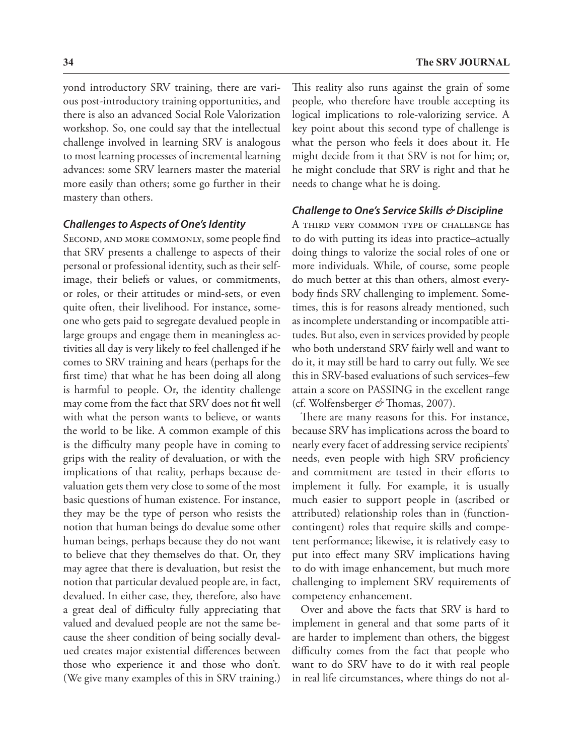yond introductory SRV training, there are various post-introductory training opportunities, and there is also an advanced Social Role Valorization workshop. So, one could say that the intellectual challenge involved in learning SRV is analogous to most learning processes of incremental learning advances: some SRV learners master the material more easily than others; some go further in their mastery than others.

#### *Challenges to Aspects of One's Identity*

SECOND, AND MORE COMMONLY, some people find that SRV presents a challenge to aspects of their personal or professional identity, such as their selfimage, their beliefs or values, or commitments, or roles, or their attitudes or mind-sets, or even quite often, their livelihood. For instance, someone who gets paid to segregate devalued people in large groups and engage them in meaningless activities all day is very likely to feel challenged if he comes to SRV training and hears (perhaps for the first time) that what he has been doing all along is harmful to people. Or, the identity challenge may come from the fact that SRV does not fit well with what the person wants to believe, or wants the world to be like. A common example of this is the difficulty many people have in coming to grips with the reality of devaluation, or with the implications of that reality, perhaps because devaluation gets them very close to some of the most basic questions of human existence. For instance, they may be the type of person who resists the notion that human beings do devalue some other human beings, perhaps because they do not want to believe that they themselves do that. Or, they may agree that there is devaluation, but resist the notion that particular devalued people are, in fact, devalued. In either case, they, therefore, also have a great deal of difficulty fully appreciating that valued and devalued people are not the same because the sheer condition of being socially devalued creates major existential differences between those who experience it and those who don't. (We give many examples of this in SRV training.)

This reality also runs against the grain of some people, who therefore have trouble accepting its logical implications to role-valorizing service. A key point about this second type of challenge is what the person who feels it does about it. He might decide from it that SRV is not for him; or, he might conclude that SRV is right and that he needs to change what he is doing.

#### *Challenge to One's Service Skills & Discipline*

A third very common type of challenge has to do with putting its ideas into practice–actually doing things to valorize the social roles of one or more individuals. While, of course, some people do much better at this than others, almost everybody finds SRV challenging to implement. Sometimes, this is for reasons already mentioned, such as incomplete understanding or incompatible attitudes. But also, even in services provided by people who both understand SRV fairly well and want to do it, it may still be hard to carry out fully. We see this in SRV-based evaluations of such services–few attain a score on PASSING in the excellent range (cf. Wolfensberger *&* Thomas, 2007).

There are many reasons for this. For instance, because SRV has implications across the board to nearly every facet of addressing service recipients' needs, even people with high SRV proficiency and commitment are tested in their efforts to implement it fully. For example, it is usually much easier to support people in (ascribed or attributed) relationship roles than in (functioncontingent) roles that require skills and competent performance; likewise, it is relatively easy to put into effect many SRV implications having to do with image enhancement, but much more challenging to implement SRV requirements of competency enhancement.

Over and above the facts that SRV is hard to implement in general and that some parts of it are harder to implement than others, the biggest difficulty comes from the fact that people who want to do SRV have to do it with real people in real life circumstances, where things do not al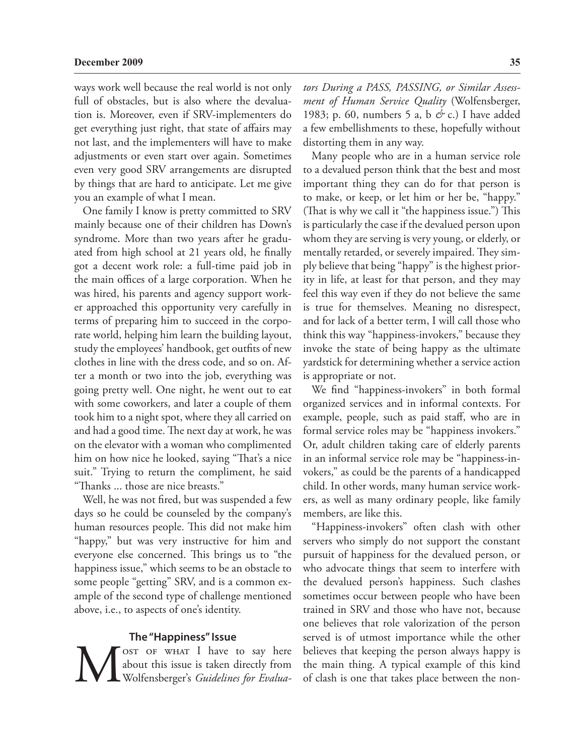ways work well because the real world is not only full of obstacles, but is also where the devaluation is. Moreover, even if SRV-implementers do get everything just right, that state of affairs may not last, and the implementers will have to make adjustments or even start over again. Sometimes even very good SRV arrangements are disrupted by things that are hard to anticipate. Let me give you an example of what I mean.

One family I know is pretty committed to SRV mainly because one of their children has Down's syndrome. More than two years after he graduated from high school at 21 years old, he finally got a decent work role: a full-time paid job in the main offices of a large corporation. When he was hired, his parents and agency support worker approached this opportunity very carefully in terms of preparing him to succeed in the corporate world, helping him learn the building layout, study the employees' handbook, get outfits of new clothes in line with the dress code, and so on. After a month or two into the job, everything was going pretty well. One night, he went out to eat with some coworkers, and later a couple of them took him to a night spot, where they all carried on and had a good time. The next day at work, he was on the elevator with a woman who complimented him on how nice he looked, saying "That's a nice suit." Trying to return the compliment, he said "Thanks ... those are nice breasts."

Well, he was not fired, but was suspended a few days so he could be counseled by the company's human resources people. This did not make him "happy," but was very instructive for him and everyone else concerned. This brings us to "the happiness issue," which seems to be an obstacle to some people "getting" SRV, and is a common example of the second type of challenge mentioned above, i.e., to aspects of one's identity.

#### **The "Happiness" Issue**

NOST OF WHAT I have to say here<br>about this issue is taken directly from<br>Wolfensberger's *Guidelines for Evalua*about this issue is taken directly from Wolfensberger's *Guidelines for Evalua-* *tors During a PASS, PASSING, or Similar Assessment of Human Service Quality* (Wolfensberger, 1983; p. 60, numbers 5 a, b *&* c.) I have added a few embellishments to these, hopefully without distorting them in any way.

Many people who are in a human service role to a devalued person think that the best and most important thing they can do for that person is to make, or keep, or let him or her be, "happy." (That is why we call it "the happiness issue.") This is particularly the case if the devalued person upon whom they are serving is very young, or elderly, or mentally retarded, or severely impaired. They simply believe that being "happy" is the highest priority in life, at least for that person, and they may feel this way even if they do not believe the same is true for themselves. Meaning no disrespect, and for lack of a better term, I will call those who think this way "happiness-invokers," because they invoke the state of being happy as the ultimate yardstick for determining whether a service action is appropriate or not.

We find "happiness-invokers" in both formal organized services and in informal contexts. For example, people, such as paid staff, who are in formal service roles may be "happiness invokers." Or, adult children taking care of elderly parents in an informal service role may be "happiness-invokers," as could be the parents of a handicapped child. In other words, many human service workers, as well as many ordinary people, like family members, are like this.

"Happiness-invokers" often clash with other servers who simply do not support the constant pursuit of happiness for the devalued person, or who advocate things that seem to interfere with the devalued person's happiness. Such clashes sometimes occur between people who have been trained in SRV and those who have not, because one believes that role valorization of the person served is of utmost importance while the other believes that keeping the person always happy is the main thing. A typical example of this kind of clash is one that takes place between the non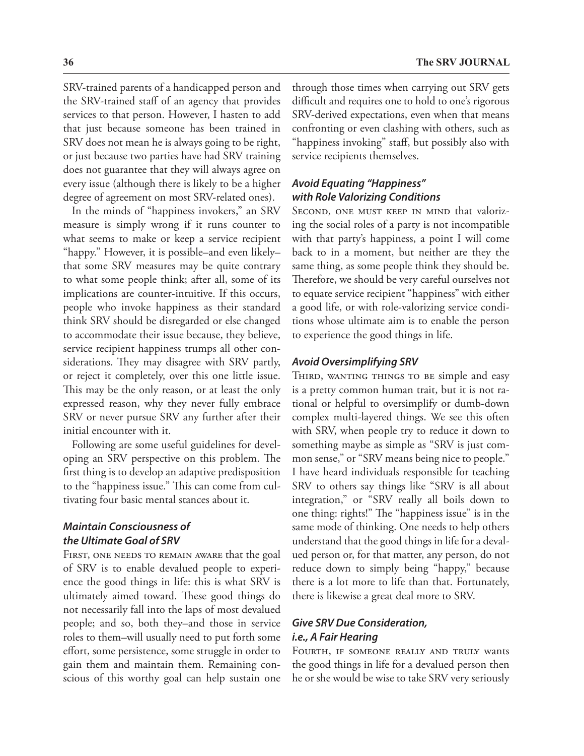SRV-trained parents of a handicapped person and the SRV-trained staff of an agency that provides services to that person. However, I hasten to add that just because someone has been trained in SRV does not mean he is always going to be right, or just because two parties have had SRV training does not guarantee that they will always agree on every issue (although there is likely to be a higher degree of agreement on most SRV-related ones).

In the minds of "happiness invokers," an SRV measure is simply wrong if it runs counter to what seems to make or keep a service recipient "happy." However, it is possible–and even likely– that some SRV measures may be quite contrary to what some people think; after all, some of its implications are counter-intuitive. If this occurs, people who invoke happiness as their standard think SRV should be disregarded or else changed to accommodate their issue because, they believe, service recipient happiness trumps all other considerations. They may disagree with SRV partly, or reject it completely, over this one little issue. This may be the only reason, or at least the only expressed reason, why they never fully embrace SRV or never pursue SRV any further after their initial encounter with it.

Following are some useful guidelines for developing an SRV perspective on this problem. The first thing is to develop an adaptive predisposition to the "happiness issue." This can come from cultivating four basic mental stances about it.

## *Maintain Consciousness of the Ultimate Goal of SRV*

First, one needs to remain aware that the goal of SRV is to enable devalued people to experience the good things in life: this is what SRV is ultimately aimed toward. These good things do not necessarily fall into the laps of most devalued people; and so, both they–and those in service roles to them–will usually need to put forth some effort, some persistence, some struggle in order to gain them and maintain them. Remaining conscious of this worthy goal can help sustain one

through those times when carrying out SRV gets difficult and requires one to hold to one's rigorous SRV-derived expectations, even when that means confronting or even clashing with others, such as "happiness invoking" staff, but possibly also with service recipients themselves.

## *Avoid Equating "Happiness" with Role Valorizing Conditions*

SECOND, ONE MUST KEEP IN MIND that valorizing the social roles of a party is not incompatible with that party's happiness, a point I will come back to in a moment, but neither are they the same thing, as some people think they should be. Therefore, we should be very careful ourselves not to equate service recipient "happiness" with either a good life, or with role-valorizing service conditions whose ultimate aim is to enable the person to experience the good things in life.

#### *Avoid Oversimplifying SRV*

THIRD, WANTING THINGS TO BE simple and easy is a pretty common human trait, but it is not rational or helpful to oversimplify or dumb-down complex multi-layered things. We see this often with SRV, when people try to reduce it down to something maybe as simple as "SRV is just common sense," or "SRV means being nice to people." I have heard individuals responsible for teaching SRV to others say things like "SRV is all about integration," or "SRV really all boils down to one thing: rights!" The "happiness issue" is in the same mode of thinking. One needs to help others understand that the good things in life for a devalued person or, for that matter, any person, do not reduce down to simply being "happy," because there is a lot more to life than that. Fortunately, there is likewise a great deal more to SRV.

## *Give SRV Due Consideration, i.e., A Fair Hearing*

Fourth, if someone really and truly wants the good things in life for a devalued person then he or she would be wise to take SRV very seriously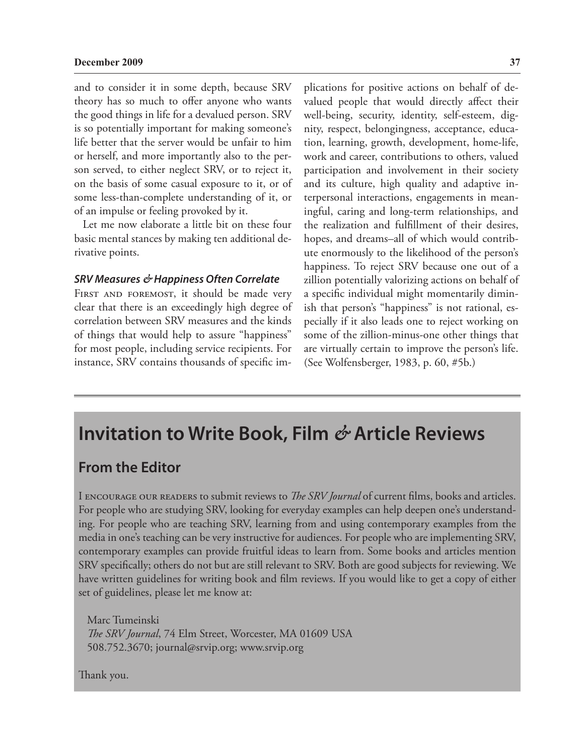and to consider it in some depth, because SRV theory has so much to offer anyone who wants the good things in life for a devalued person. SRV is so potentially important for making someone's life better that the server would be unfair to him or herself, and more importantly also to the person served, to either neglect SRV, or to reject it, on the basis of some casual exposure to it, or of some less-than-complete understanding of it, or of an impulse or feeling provoked by it.

Let me now elaborate a little bit on these four basic mental stances by making ten additional derivative points.

#### *SRV Measures & Happiness Often Correlate*

FIRST AND FOREMOST, it should be made very clear that there is an exceedingly high degree of correlation between SRV measures and the kinds of things that would help to assure "happiness" for most people, including service recipients. For instance, SRV contains thousands of specific implications for positive actions on behalf of devalued people that would directly affect their well-being, security, identity, self-esteem, dignity, respect, belongingness, acceptance, education, learning, growth, development, home-life, work and career, contributions to others, valued participation and involvement in their society and its culture, high quality and adaptive interpersonal interactions, engagements in meaningful, caring and long-term relationships, and the realization and fulfillment of their desires, hopes, and dreams–all of which would contribute enormously to the likelihood of the person's happiness. To reject SRV because one out of a zillion potentially valorizing actions on behalf of a specific individual might momentarily diminish that person's "happiness" is not rational, especially if it also leads one to reject working on some of the zillion-minus-one other things that are virtually certain to improve the person's life. (See Wolfensberger, 1983, p. 60, #5b.)

## **Invitation to Write Book, Film** *&* **Article Reviews**

## **From the Editor**

I encourage our readers to submit reviews to *The SRV Journal* of current films, books and articles. For people who are studying SRV, looking for everyday examples can help deepen one's understanding. For people who are teaching SRV, learning from and using contemporary examples from the media in one's teaching can be very instructive for audiences. For people who are implementing SRV, contemporary examples can provide fruitful ideas to learn from. Some books and articles mention SRV specifically; others do not but are still relevant to SRV. Both are good subjects for reviewing. We have written guidelines for writing book and film reviews. If you would like to get a copy of either set of guidelines, please let me know at:

Marc Tumeinski *The SRV Journal*, 74 Elm Street, Worcester, MA 01609 USA 508.752.3670; journal@srvip.org; www.srvip.org

Thank you.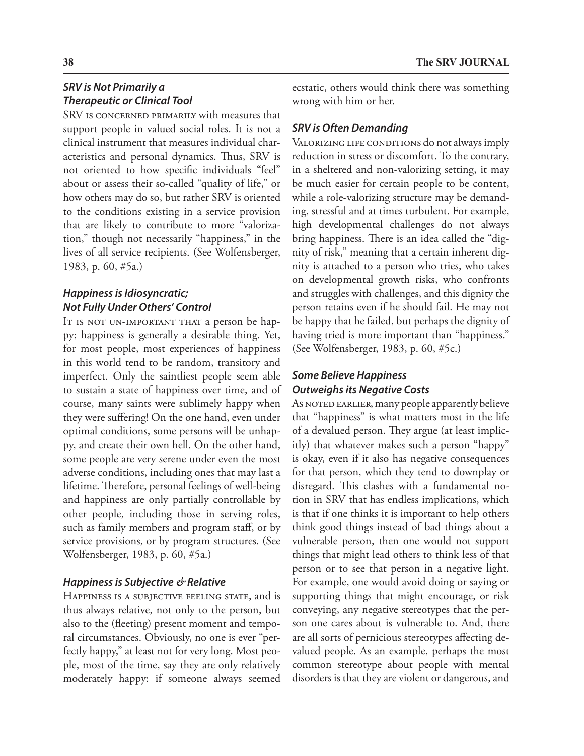## *SRV is Not Primarily a Therapeutic or Clinical Tool*

SRV is concerned primarily with measures that support people in valued social roles. It is not a clinical instrument that measures individual characteristics and personal dynamics. Thus, SRV is not oriented to how specific individuals "feel" about or assess their so-called "quality of life," or how others may do so, but rather SRV is oriented to the conditions existing in a service provision that are likely to contribute to more "valorization," though not necessarily "happiness," in the lives of all service recipients. (See Wolfensberger, 1983, p. 60, #5a.)

## *Happiness is Idiosyncratic; Not Fully Under Others' Control*

It is not un-important that a person be happy; happiness is generally a desirable thing. Yet, for most people, most experiences of happiness in this world tend to be random, transitory and imperfect. Only the saintliest people seem able to sustain a state of happiness over time, and of course, many saints were sublimely happy when they were suffering! On the one hand, even under optimal conditions, some persons will be unhappy, and create their own hell. On the other hand, some people are very serene under even the most adverse conditions, including ones that may last a lifetime. Therefore, personal feelings of well-being and happiness are only partially controllable by other people, including those in serving roles, such as family members and program staff, or by service provisions, or by program structures. (See Wolfensberger, 1983, p. 60, #5a.)

## *Happiness is Subjective & Relative*

HAPPINESS IS A SUBJECTIVE FEELING STATE, and is thus always relative, not only to the person, but also to the (fleeting) present moment and temporal circumstances. Obviously, no one is ever "perfectly happy," at least not for very long. Most people, most of the time, say they are only relatively moderately happy: if someone always seemed

ecstatic, others would think there was something wrong with him or her.

## *SRV is Often Demanding*

VALORIZING LIFE CONDITIONS do not always imply reduction in stress or discomfort. To the contrary, in a sheltered and non-valorizing setting, it may be much easier for certain people to be content, while a role-valorizing structure may be demanding, stressful and at times turbulent. For example, high developmental challenges do not always bring happiness. There is an idea called the "dignity of risk," meaning that a certain inherent dignity is attached to a person who tries, who takes on developmental growth risks, who confronts and struggles with challenges, and this dignity the person retains even if he should fail. He may not be happy that he failed, but perhaps the dignity of having tried is more important than "happiness." (See Wolfensberger, 1983, p. 60, #5c.)

## *Some Believe Happiness Outweighs its Negative Costs*

As NOTED EARLIER, many people apparently believe that "happiness" is what matters most in the life of a devalued person. They argue (at least implicitly) that whatever makes such a person "happy" is okay, even if it also has negative consequences for that person, which they tend to downplay or disregard. This clashes with a fundamental notion in SRV that has endless implications, which is that if one thinks it is important to help others think good things instead of bad things about a vulnerable person, then one would not support things that might lead others to think less of that person or to see that person in a negative light. For example, one would avoid doing or saying or supporting things that might encourage, or risk conveying, any negative stereotypes that the person one cares about is vulnerable to. And, there are all sorts of pernicious stereotypes affecting devalued people. As an example, perhaps the most common stereotype about people with mental disorders is that they are violent or dangerous, and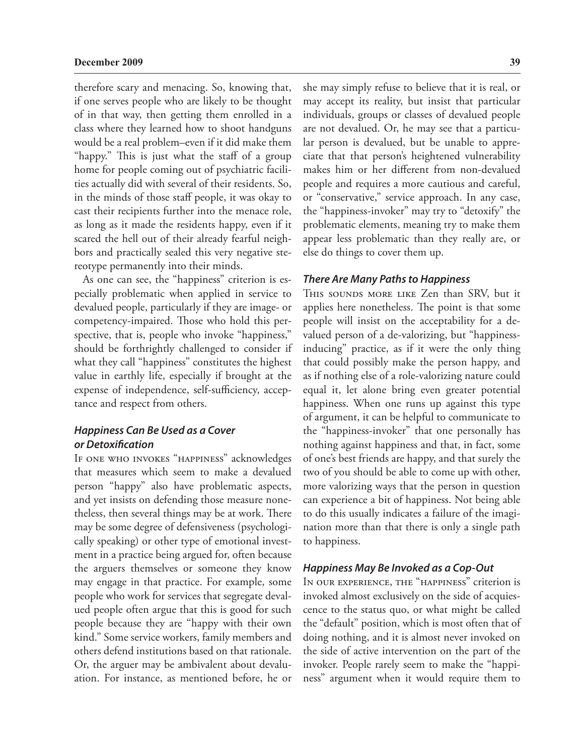therefore scary and menacing. So, knowing that, if one serves people who are likely to be thought of in that way, then getting them enrolled in a class where they learned how to shoot handguns would be a real problem–even if it did make them "happy." This is just what the staff of a group home for people coming out of psychiatric facilities actually did with several of their residents. So, in the minds of those staff people, it was okay to cast their recipients further into the menace role, as long as it made the residents happy, even if it scared the hell out of their already fearful neighbors and practically sealed this very negative stereotype permanently into their minds.

As one can see, the "happiness" criterion is especially problematic when applied in service to devalued people, particularly if they are image- or competency-impaired. Those who hold this perspective, that is, people who invoke "happiness," should be forthrightly challenged to consider if what they call "happiness" constitutes the highest value in earthly life, especially if brought at the expense of independence, self-sufficiency, acceptance and respect from others.

## *Happiness Can Be Used as a Cover or Detoxification*

If one who invokes "happiness" acknowledges that measures which seem to make a devalued person "happy" also have problematic aspects, and yet insists on defending those measure nonetheless, then several things may be at work. There may be some degree of defensiveness (psychologically speaking) or other type of emotional investment in a practice being argued for, often because the arguers themselves or someone they know may engage in that practice. For example, some people who work for services that segregate devalued people often argue that this is good for such people because they are "happy with their own kind." Some service workers, family members and others defend institutions based on that rationale. Or, the arguer may be ambivalent about devaluation. For instance, as mentioned before, he or

she may simply refuse to believe that it is real, or may accept its reality, but insist that particular individuals, groups or classes of devalued people are not devalued. Or, he may see that a particular person is devalued, but be unable to appreciate that that person's heightened vulnerability makes him or her different from non-devalued people and requires a more cautious and careful, or "conservative," service approach. In any case, the "happiness-invoker" may try to "detoxify" the problematic elements, meaning try to make them appear less problematic than they really are, or else do things to cover them up.

#### *There Are Many Paths to Happiness*

THIS SOUNDS MORE LIKE Zen than SRV, but it applies here nonetheless. The point is that some people will insist on the acceptability for a devalued person of a de-valorizing, but "happinessinducing" practice, as if it were the only thing that could possibly make the person happy, and as if nothing else of a role-valorizing nature could equal it, let alone bring even greater potential happiness. When one runs up against this type of argument, it can be helpful to communicate to the "happiness-invoker" that one personally has nothing against happiness and that, in fact, some of one's best friends are happy, and that surely the two of you should be able to come up with other, more valorizing ways that the person in question can experience a bit of happiness. Not being able to do this usually indicates a failure of the imagination more than that there is only a single path to happiness.

## *Happiness May Be Invoked as a Cop-Out*

In our experience, the "happiness" criterion is invoked almost exclusively on the side of acquiescence to the status quo, or what might be called the "default" position, which is most often that of doing nothing, and it is almost never invoked on the side of active intervention on the part of the invoker. People rarely seem to make the "happiness" argument when it would require them to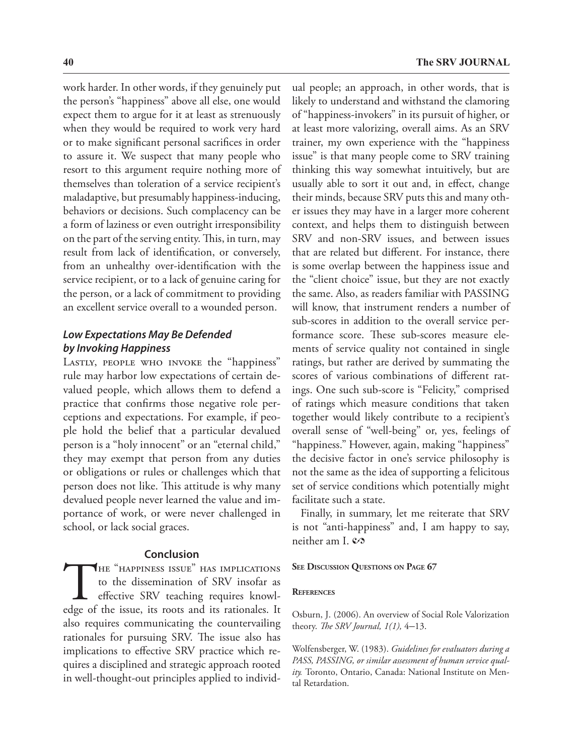work harder. In other words, if they genuinely put the person's "happiness" above all else, one would expect them to argue for it at least as strenuously when they would be required to work very hard or to make significant personal sacrifices in order to assure it. We suspect that many people who resort to this argument require nothing more of themselves than toleration of a service recipient's maladaptive, but presumably happiness-inducing, behaviors or decisions. Such complacency can be a form of laziness or even outright irresponsibility on the part of the serving entity. This, in turn, may result from lack of identification, or conversely, from an unhealthy over-identification with the service recipient, or to a lack of genuine caring for the person, or a lack of commitment to providing an excellent service overall to a wounded person.

## *Low Expectations May Be Defended by Invoking Happiness*

LASTLY, PEOPLE WHO INVOKE the "happiness" rule may harbor low expectations of certain devalued people, which allows them to defend a practice that confirms those negative role perceptions and expectations. For example, if people hold the belief that a particular devalued person is a "holy innocent" or an "eternal child," they may exempt that person from any duties or obligations or rules or challenges which that person does not like. This attitude is why many devalued people never learned the value and importance of work, or were never challenged in school, or lack social graces.

#### **Conclusion**

THE "HAPPINESS ISSUE" HAS IMPLICATIONS<br>
to the dissemination of SRV insofar as<br>
effective SRV teaching requires knowl-<br>
edge of the issue, its roots and its rationales. It to the dissemination of SRV insofar as effective SRV teaching requires knowlalso requires communicating the countervailing rationales for pursuing SRV. The issue also has implications to effective SRV practice which requires a disciplined and strategic approach rooted in well-thought-out principles applied to individual people; an approach, in other words, that is likely to understand and withstand the clamoring of "happiness-invokers" in its pursuit of higher, or at least more valorizing, overall aims. As an SRV trainer, my own experience with the "happiness issue" is that many people come to SRV training thinking this way somewhat intuitively, but are usually able to sort it out and, in effect, change their minds, because SRV puts this and many other issues they may have in a larger more coherent context, and helps them to distinguish between SRV and non-SRV issues, and between issues that are related but different. For instance, there is some overlap between the happiness issue and the "client choice" issue, but they are not exactly the same. Also, as readers familiar with PASSING will know, that instrument renders a number of sub-scores in addition to the overall service performance score. These sub-scores measure elements of service quality not contained in single ratings, but rather are derived by summating the scores of various combinations of different ratings. One such sub-score is "Felicity," comprised of ratings which measure conditions that taken together would likely contribute to a recipient's overall sense of "well-being" or, yes, feelings of "happiness." However, again, making "happiness" the decisive factor in one's service philosophy is not the same as the idea of supporting a felicitous set of service conditions which potentially might facilitate such a state.

Finally, in summary, let me reiterate that SRV is not "anti-happiness" and, I am happy to say, neither am I.  $\mathcal{O}$ 

#### **See Discussion Questions on Page 67**

#### **References**

Osburn, J. (2006). An overview of Social Role Valorization theory. *The SRV Journal, 1(1),* 4–13.

Wolfensberger, W. (1983). *Guidelines for evaluators during a PASS, PASSING, or similar assessment of human service quality.* Toronto, Ontario, Canada: National Institute on Mental Retardation.